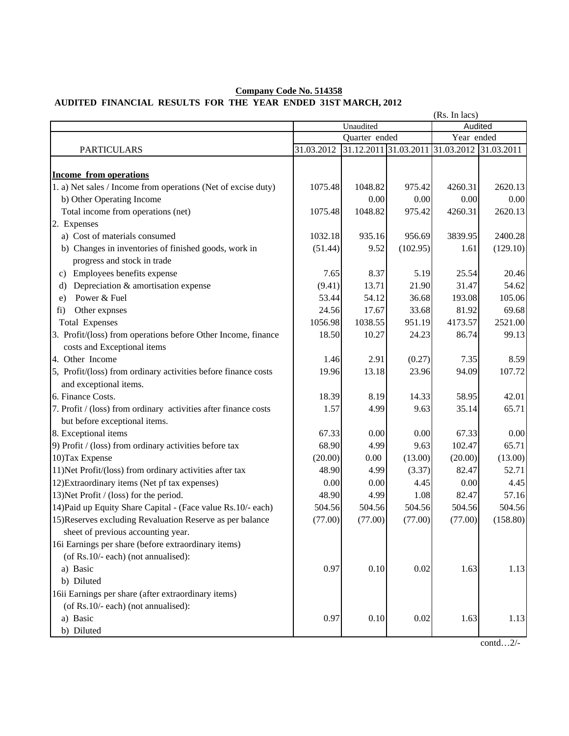## **AUDITED FINANCIAL RESULTS FOR THE YEAR ENDED 31ST MARCH, 2012 Company Code No. 514358**

|                                                                 | (Rs. In lacs) |                       |          |                       |          |
|-----------------------------------------------------------------|---------------|-----------------------|----------|-----------------------|----------|
|                                                                 | Unaudited     |                       |          | Audited               |          |
|                                                                 | Quarter ended |                       |          | Year ended            |          |
| <b>PARTICULARS</b>                                              | 31.03.2012    | 31.12.2011 31.03.2011 |          | 31.03.2012 31.03.2011 |          |
|                                                                 |               |                       |          |                       |          |
| <b>Income from operations</b>                                   |               |                       |          |                       |          |
| 1. a) Net sales / Income from operations (Net of excise duty)   | 1075.48       | 1048.82               | 975.42   | 4260.31               | 2620.13  |
| b) Other Operating Income                                       |               | 0.00                  | 0.00     | 0.00                  | 0.00     |
| Total income from operations (net)                              | 1075.48       | 1048.82               | 975.42   | 4260.31               | 2620.13  |
| 2. Expenses                                                     |               |                       |          |                       |          |
| a) Cost of materials consumed                                   | 1032.18       | 935.16                | 956.69   | 3839.95               | 2400.28  |
| b) Changes in inventories of finished goods, work in            | (51.44)       | 9.52                  | (102.95) | 1.61                  | (129.10) |
| progress and stock in trade                                     |               |                       |          |                       |          |
| Employees benefits expense<br>C)                                | 7.65          | 8.37                  | 5.19     | 25.54                 | 20.46    |
| Depreciation & amortisation expense<br>d)                       | (9.41)        | 13.71                 | 21.90    | 31.47                 | 54.62    |
| Power & Fuel<br>e)                                              | 53.44         | 54.12                 | 36.68    | 193.08                | 105.06   |
| Other expnses<br>fi)                                            | 24.56         | 17.67                 | 33.68    | 81.92                 | 69.68    |
| <b>Total Expenses</b>                                           | 1056.98       | 1038.55               | 951.19   | 4173.57               | 2521.00  |
| 3. Profit/(loss) from operations before Other Income, finance   | 18.50         | 10.27                 | 24.23    | 86.74                 | 99.13    |
| costs and Exceptional items                                     |               |                       |          |                       |          |
| 4. Other Income                                                 | 1.46          | 2.91                  | (0.27)   | 7.35                  | 8.59     |
| 5, Profit/(loss) from ordinary activities before finance costs  | 19.96         | 13.18                 | 23.96    | 94.09                 | 107.72   |
| and exceptional items.                                          |               |                       |          |                       |          |
| 6. Finance Costs.                                               | 18.39         | 8.19                  | 14.33    | 58.95                 | 42.01    |
| 7. Profit / (loss) from ordinary activities after finance costs | 1.57          | 4.99                  | 9.63     | 35.14                 | 65.71    |
| but before exceptional items.                                   |               |                       |          |                       |          |
| 8. Exceptional items                                            | 67.33         | 0.00                  | 0.00     | 67.33                 | 0.00     |
| 9) Profit / (loss) from ordinary activities before tax          | 68.90         | 4.99                  | 9.63     | 102.47                | 65.71    |
| 10) Tax Expense                                                 | (20.00)       | 0.00                  | (13.00)  | (20.00)               | (13.00)  |
| 11)Net Profit/(loss) from ordinary activities after tax         | 48.90         | 4.99                  | (3.37)   | 82.47                 | 52.71    |
| 12) Extraordinary items (Net pf tax expenses)                   | 0.00          | 0.00                  | 4.45     | 0.00                  | 4.45     |
| 13) Net Profit / (loss) for the period.                         | 48.90         | 4.99                  | 1.08     | 82.47                 | 57.16    |
| 14) Paid up Equity Share Capital - (Face value Rs.10/- each)    | 504.56        | 504.56                | 504.56   | 504.56                | 504.56   |
| 15) Reserves excluding Revaluation Reserve as per balance       | (77.00)       | (77.00)               | (77.00)  | (77.00)               | (158.80) |
| sheet of previous accounting year.                              |               |                       |          |                       |          |
| 16i Earnings per share (before extraordinary items)             |               |                       |          |                       |          |
| (of Rs.10/- each) (not annualised):                             |               |                       |          |                       |          |
| a) Basic                                                        | 0.97          | 0.10                  | 0.02     | 1.63                  | 1.13     |
| b) Diluted                                                      |               |                       |          |                       |          |
| 16ii Earnings per share (after extraordinary items)             |               |                       |          |                       |          |
| (of Rs.10/- each) (not annualised):                             |               |                       |          |                       |          |
| a) Basic                                                        | 0.97          | 0.10                  | 0.02     | 1.63                  | 1.13     |
| b) Diluted                                                      |               |                       |          |                       |          |
|                                                                 |               |                       |          |                       | $\sim$   |

contd…2/-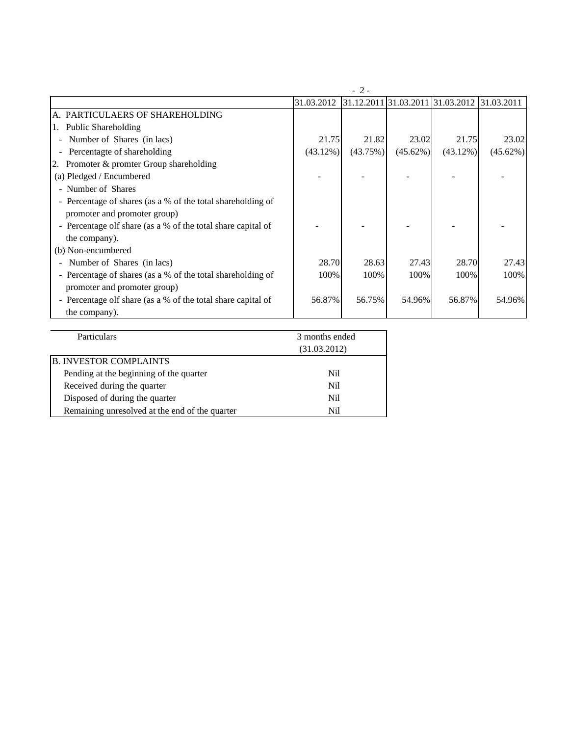|                                                              | $-2-$          |          |                                  |             |             |  |
|--------------------------------------------------------------|----------------|----------|----------------------------------|-------------|-------------|--|
|                                                              | 31.03.2012     |          | 31.12.2011 31.03.2011 31.03.2012 |             | 31.03.2011  |  |
| A. PARTICULAERS OF SHAREHOLDING                              |                |          |                                  |             |             |  |
| 1. Public Shareholding                                       |                |          |                                  |             |             |  |
| Number of Shares (in lacs)<br>$\blacksquare$                 | 21.75          | 21.82    | 23.02                            | 21.75       | 23.02       |  |
| Percentagte of shareholding<br>$\overline{\phantom{a}}$      | $(43.12\%)$    | (43.75%) | $(45.62\%)$                      | $(43.12\%)$ | $(45.62\%)$ |  |
| Promoter & promter Group shareholding                        |                |          |                                  |             |             |  |
| (a) Pledged / Encumbered                                     |                |          |                                  |             |             |  |
| - Number of Shares                                           |                |          |                                  |             |             |  |
| - Percentage of shares (as a % of the total shareholding of  |                |          |                                  |             |             |  |
| promoter and promoter group)                                 |                |          |                                  |             |             |  |
| - Percentage olf share (as a % of the total share capital of |                |          |                                  |             |             |  |
| the company).                                                |                |          |                                  |             |             |  |
| (b) Non-encumbered                                           |                |          |                                  |             |             |  |
| Number of Shares (in lacs)                                   | 28.70          | 28.63    | 27.43                            | 28.70       | 27.43       |  |
| - Percentage of shares (as a % of the total shareholding of  | 100%           | 100%     | 100%                             | 100%        | 100%        |  |
| promoter and promoter group)                                 |                |          |                                  |             |             |  |
| - Percentage olf share (as a % of the total share capital of | 56.87%         | 56.75%   | 54.96%                           | 56.87%      | 54.96%      |  |
| the company).                                                |                |          |                                  |             |             |  |
|                                                              |                |          |                                  |             |             |  |
| Particulars                                                  | 3 months ended |          |                                  |             |             |  |

| 3 months ended |  |
|----------------|--|
| (31.03.2012)   |  |
|                |  |
| Nil            |  |
| Nil            |  |
| Nil            |  |
| Nil            |  |
|                |  |